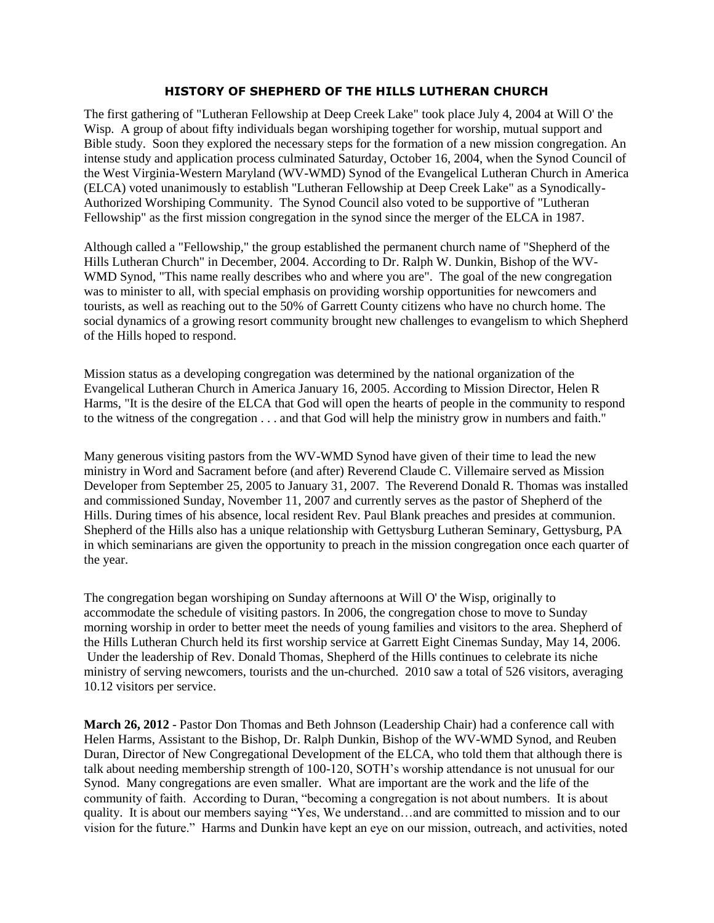## **HISTORY OF SHEPHERD OF THE HILLS LUTHERAN CHURCH**

The first gathering of "Lutheran Fellowship at Deep Creek Lake" took place July 4, 2004 at Will O' the Wisp. A group of about fifty individuals began worshiping together for worship, mutual support and Bible study. Soon they explored the necessary steps for the formation of a new mission congregation. An intense study and application process culminated Saturday, October 16, 2004, when the Synod Council of the West Virginia-Western Maryland (WV-WMD) Synod of the Evangelical Lutheran Church in America (ELCA) voted unanimously to establish "Lutheran Fellowship at Deep Creek Lake" as a Synodically-Authorized Worshiping Community. The Synod Council also voted to be supportive of "Lutheran Fellowship" as the first mission congregation in the synod since the merger of the ELCA in 1987.

Although called a "Fellowship," the group established the permanent church name of "Shepherd of the Hills Lutheran Church" in December, 2004. According to Dr. Ralph W. Dunkin, Bishop of the WV-WMD Synod, "This name really describes who and where you are". The goal of the new congregation was to minister to all, with special emphasis on providing worship opportunities for newcomers and tourists, as well as reaching out to the 50% of Garrett County citizens who have no church home. The social dynamics of a growing resort community brought new challenges to evangelism to which Shepherd of the Hills hoped to respond.

Mission status as a developing congregation was determined by the national organization of the Evangelical Lutheran Church in America January 16, 2005. According to Mission Director, Helen R Harms, "It is the desire of the ELCA that God will open the hearts of people in the community to respond to the witness of the congregation . . . and that God will help the ministry grow in numbers and faith."

Many generous visiting pastors from the WV-WMD Synod have given of their time to lead the new ministry in Word and Sacrament before (and after) Reverend Claude C. Villemaire served as Mission Developer from September 25, 2005 to January 31, 2007. The Reverend Donald R. Thomas was installed and commissioned Sunday, November 11, 2007 and currently serves as the pastor of Shepherd of the Hills. During times of his absence, local resident Rev. Paul Blank preaches and presides at communion. Shepherd of the Hills also has a unique relationship with Gettysburg Lutheran Seminary, Gettysburg, PA in which seminarians are given the opportunity to preach in the mission congregation once each quarter of the year.

The congregation began worshiping on Sunday afternoons at Will O' the Wisp, originally to accommodate the schedule of visiting pastors. In 2006, the congregation chose to move to Sunday morning worship in order to better meet the needs of young families and visitors to the area. Shepherd of the Hills Lutheran Church held its first worship service at Garrett Eight Cinemas Sunday, May 14, 2006. Under the leadership of Rev. Donald Thomas, Shepherd of the Hills continues to celebrate its niche ministry of serving newcomers, tourists and the un-churched. 2010 saw a total of 526 visitors, averaging 10.12 visitors per service.

**March 26, 2012** - Pastor Don Thomas and Beth Johnson (Leadership Chair) had a conference call with Helen Harms, Assistant to the Bishop, Dr. Ralph Dunkin, Bishop of the WV-WMD Synod, and Reuben Duran, Director of New Congregational Development of the ELCA, who told them that although there is talk about needing membership strength of 100-120, SOTH's worship attendance is not unusual for our Synod. Many congregations are even smaller. What are important are the work and the life of the community of faith. According to Duran, "becoming a congregation is not about numbers. It is about quality. It is about our members saying "Yes, We understand...and are committed to mission and to our vision for the future." Harms and Dunkin have kept an eye on our mission, outreach, and activities, noted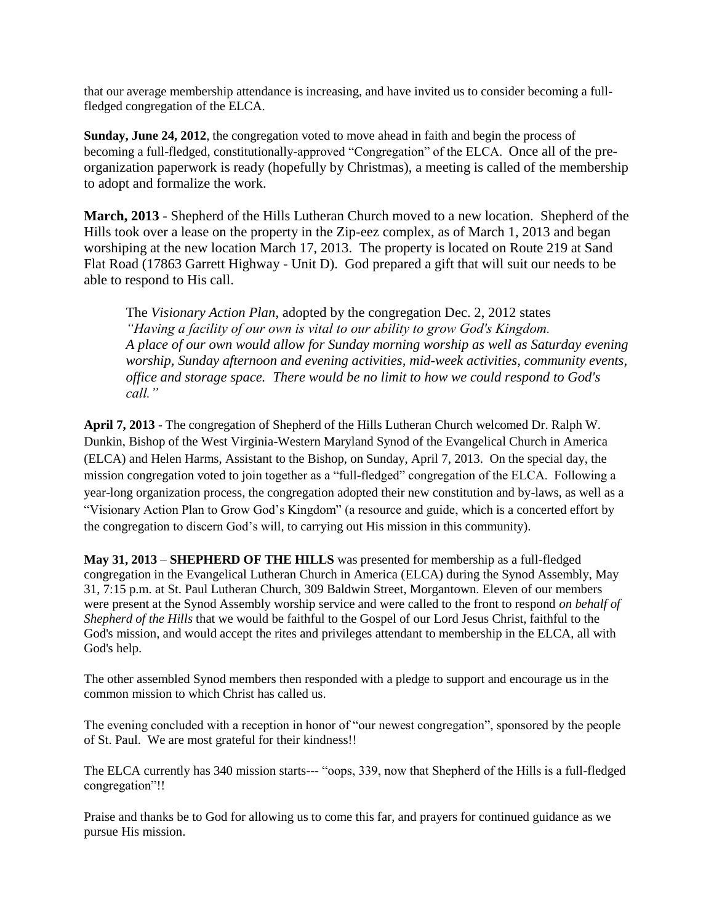that our average membership attendance is increasing, and have invited us to consider becoming a fullfledged congregation of the ELCA.

**Sunday, June 24, 2012**, the congregation voted to move ahead in faith and begin the process of becoming a full-fledged, constitutionally-approved "Congregation" of the ELCA. Once all of the preorganization paperwork is ready (hopefully by Christmas), a meeting is called of the membership to adopt and formalize the work.

**March, 2013** - Shepherd of the Hills Lutheran Church moved to a new location. Shepherd of the Hills took over a lease on the property in the Zip-eez complex, as of March 1, 2013 and began worshiping at the new location March 17, 2013. The property is located on Route 219 at Sand Flat Road (17863 Garrett Highway - Unit D). God prepared a gift that will suit our needs to be able to respond to His call.

The *Visionary Action Plan*, adopted by the congregation Dec. 2, 2012 states *"Having a facility of our own is vital to our ability to grow God's Kingdom. A place of our own would allow for Sunday morning worship as well as Saturday evening worship, Sunday afternoon and evening activities, mid-week activities, community events, office and storage space. There would be no limit to how we could respond to God's call."*

**April 7, 2013** - The congregation of Shepherd of the Hills Lutheran Church welcomed Dr. Ralph W. Dunkin, Bishop of the West Virginia-Western Maryland Synod of the Evangelical Church in America (ELCA) and Helen Harms, Assistant to the Bishop, on Sunday, April 7, 2013. On the special day, the mission congregation voted to join together as a "full-fledged" congregation of the ELCA. Following a year-long organization process, the congregation adopted their new constitution and by-laws, as well as a "Visionary Action Plan to Grow God's Kingdom" (a resource and guide, which is a concerted effort by the congregation to discern God's will, to carrying out His mission in this community).

**May 31, 2013** – **SHEPHERD OF THE HILLS** was presented for membership as a full-fledged congregation in the Evangelical Lutheran Church in America (ELCA) during the Synod Assembly, May 31, 7:15 p.m. at St. Paul Lutheran Church, 309 Baldwin Street, Morgantown. Eleven of our members were present at the Synod Assembly worship service and were called to the front to respond *on behalf of Shepherd of the Hills* that we would be faithful to the Gospel of our Lord Jesus Christ, faithful to the God's mission, and would accept the rites and privileges attendant to membership in the ELCA, all with God's help.

The other assembled Synod members then responded with a pledge to support and encourage us in the common mission to which Christ has called us.

The evening concluded with a reception in honor of "our newest congregation", sponsored by the people of St. Paul. We are most grateful for their kindness!!

The ELCA currently has 340 mission starts--- "oops, 339, now that Shepherd of the Hills is a full-fledged congregation"!!

Praise and thanks be to God for allowing us to come this far, and prayers for continued guidance as we pursue His mission.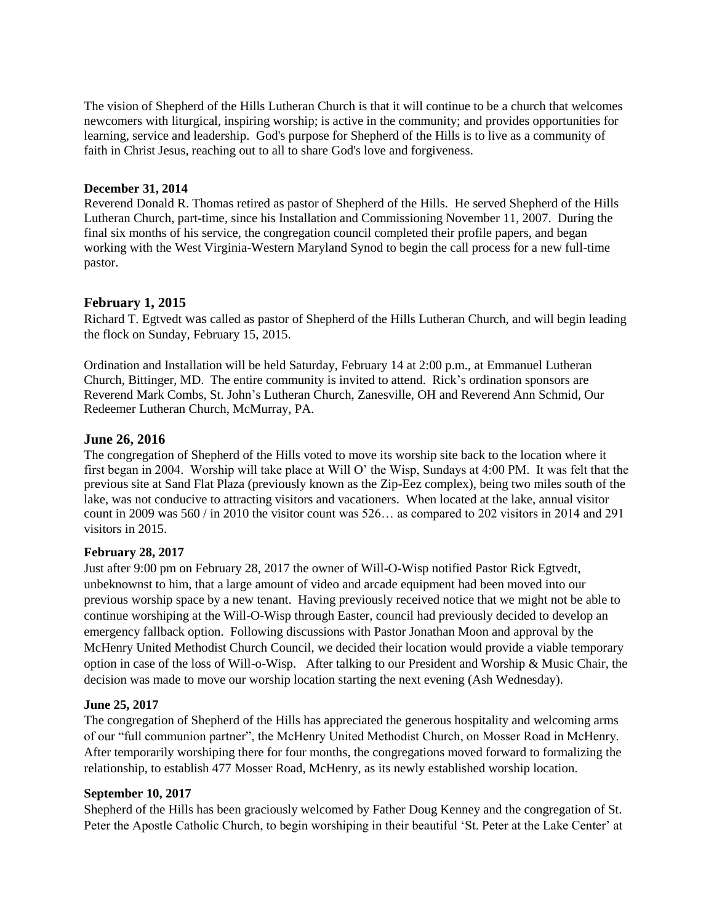The vision of Shepherd of the Hills Lutheran Church is that it will continue to be a church that welcomes newcomers with liturgical, inspiring worship; is active in the community; and provides opportunities for learning, service and leadership. God's purpose for Shepherd of the Hills is to live as a community of faith in Christ Jesus, reaching out to all to share God's love and forgiveness.

## **December 31, 2014**

Reverend Donald R. Thomas retired as pastor of Shepherd of the Hills. He served Shepherd of the Hills Lutheran Church, part-time, since his Installation and Commissioning November 11, 2007. During the final six months of his service, the congregation council completed their profile papers, and began working with the West Virginia-Western Maryland Synod to begin the call process for a new full-time pastor.

# **February 1, 2015**

Richard T. Egtvedt was called as pastor of Shepherd of the Hills Lutheran Church, and will begin leading the flock on Sunday, February 15, 2015.

Ordination and Installation will be held Saturday, February 14 at 2:00 p.m., at Emmanuel Lutheran Church, Bittinger, MD. The entire community is invited to attend. Rick's ordination sponsors are Reverend Mark Combs, St. John's Lutheran Church, Zanesville, OH and Reverend Ann Schmid, Our Redeemer Lutheran Church, McMurray, PA.

# **June 26, 2016**

The congregation of Shepherd of the Hills voted to move its worship site back to the location where it first began in 2004. Worship will take place at Will O' the Wisp, Sundays at 4:00 PM. It was felt that the previous site at Sand Flat Plaza (previously known as the Zip-Eez complex), being two miles south of the lake, was not conducive to attracting visitors and vacationers. When located at the lake, annual visitor count in 2009 was 560 / in 2010 the visitor count was 526… as compared to 202 visitors in 2014 and 291 visitors in 2015.

## **February 28, 2017**

Just after 9:00 pm on February 28, 2017 the owner of Will-O-Wisp notified Pastor Rick Egtvedt, unbeknownst to him, that a large amount of video and arcade equipment had been moved into our previous worship space by a new tenant. Having previously received notice that we might not be able to continue worshiping at the Will-O-Wisp through Easter, council had previously decided to develop an emergency fallback option. Following discussions with Pastor Jonathan Moon and approval by the McHenry United Methodist Church Council, we decided their location would provide a viable temporary option in case of the loss of Will-o-Wisp. After talking to our President and Worship & Music Chair, the decision was made to move our worship location starting the next evening (Ash Wednesday).

## **June 25, 2017**

The congregation of Shepherd of the Hills has appreciated the generous hospitality and welcoming arms of our "full communion partner", the McHenry United Methodist Church, on Mosser Road in McHenry. After temporarily worshiping there for four months, the congregations moved forward to formalizing the relationship, to establish 477 Mosser Road, McHenry, as its newly established worship location.

## **September 10, 2017**

Shepherd of the Hills has been graciously welcomed by Father Doug Kenney and the congregation of St. Peter the Apostle Catholic Church, to begin worshiping in their beautiful 'St. Peter at the Lake Center' at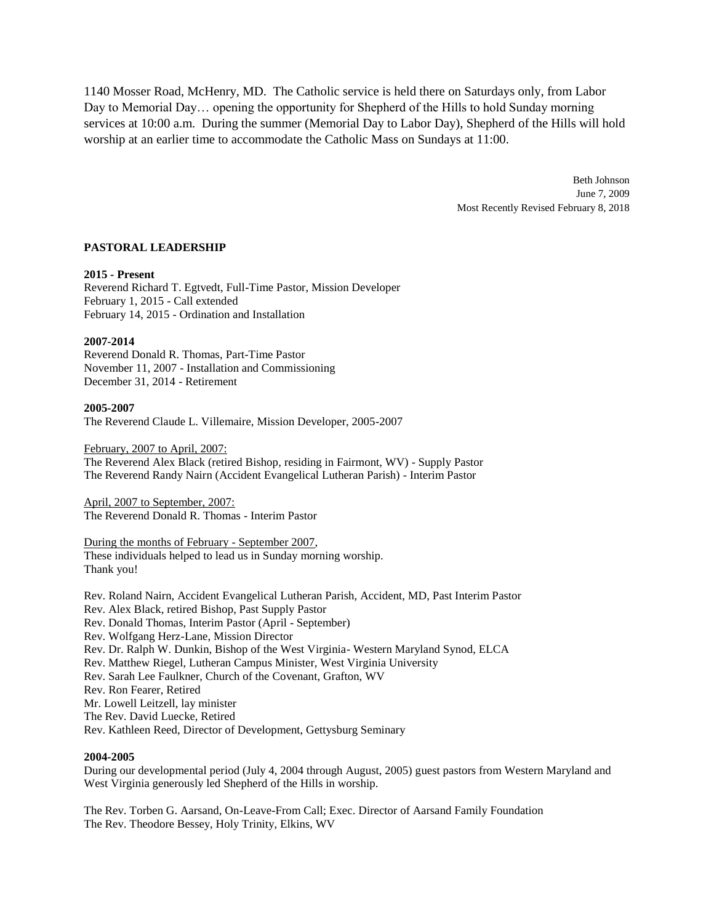1140 Mosser Road, McHenry, MD. The Catholic service is held there on Saturdays only, from Labor Day to Memorial Day… opening the opportunity for Shepherd of the Hills to hold Sunday morning services at 10:00 a.m. During the summer (Memorial Day to Labor Day), Shepherd of the Hills will hold worship at an earlier time to accommodate the Catholic Mass on Sundays at 11:00.

> Beth Johnson June 7, 2009 Most Recently Revised February 8, 2018

### **PASTORAL LEADERSHIP**

### **2015 - Present**

Reverend Richard T. Egtvedt, Full-Time Pastor, Mission Developer February 1, 2015 - Call extended February 14, 2015 - Ordination and Installation

### **2007-2014**

Reverend Donald R. Thomas, Part-Time Pastor November 11, 2007 - Installation and Commissioning December 31, 2014 - Retirement

#### **2005-2007**

The Reverend Claude L. Villemaire, Mission Developer, 2005-2007

#### February, 2007 to April, 2007:

The Reverend Alex Black (retired Bishop, residing in Fairmont, WV) - Supply Pastor The Reverend Randy Nairn (Accident Evangelical Lutheran Parish) - Interim Pastor

April, 2007 to September, 2007: The Reverend Donald R. Thomas - Interim Pastor

### During the months of February - September 2007, These individuals helped to lead us in Sunday morning worship. Thank you!

Rev. Roland Nairn, Accident Evangelical Lutheran Parish, Accident, MD, Past Interim Pastor Rev. Alex Black, retired Bishop, Past Supply Pastor Rev. Donald Thomas, Interim Pastor (April - September) Rev. Wolfgang Herz-Lane, Mission Director Rev. Dr. Ralph W. Dunkin, Bishop of the West Virginia- Western Maryland Synod, ELCA Rev. Matthew Riegel, Lutheran Campus Minister, West Virginia University Rev. Sarah Lee Faulkner, Church of the Covenant, Grafton, WV Rev. Ron Fearer, Retired Mr. Lowell Leitzell, lay minister The Rev. David Luecke, Retired Rev. Kathleen Reed, Director of Development, Gettysburg Seminary

### **2004-2005**

During our developmental period (July 4, 2004 through August, 2005) guest pastors from Western Maryland and West Virginia generously led Shepherd of the Hills in worship.

The Rev. Torben G. Aarsand, On-Leave-From Call; Exec. Director of Aarsand Family Foundation The Rev. Theodore Bessey, Holy Trinity, Elkins, WV